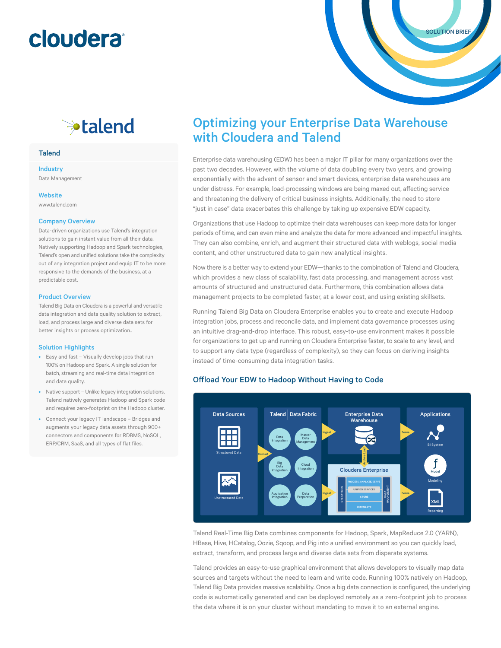## **cloudera**

### <sup>→</sup>talend

#### **Talend**

### Industry

Data Management

#### **Website**

www.talend.com

#### Company Overview

Data-driven organizations use Talend's integration solutions to gain instant value from all their data. Natively supporting Hadoop and Spark technologies, Talend's open and unified solutions take the complexity out of any integration project and equip IT to be more responsive to the demands of the business, at a predictable cost.

#### Product Overview

Talend Big Data on Cloudera is a powerful and versatile data integration and data quality solution to extract, load, and process large and diverse data sets for better insights or process optimization..

#### Solution Highlights

- Easy and fast Visually develop jobs that run 100% on Hadoop and Spark. A single solution for batch, streaming and real-time data integration and data quality.
- Native support Unlike legacy integration solutions, Talend natively generates Hadoop and Spark code and requires zero-footprint on the Hadoop cluster.
- Connect your legacy IT landscape Bridges and augments your legacy data assets through 900+ connectors and components for RDBMS, NoSQL, ERP/CRM, SaaS, and all types of flat files.

### Optimizing your Enterprise Data Warehouse with Cloudera and Talend

Enterprise data warehousing (EDW) has been a major IT pillar for many organizations over the past two decades. However, with the volume of data doubling every two years, and growing exponentially with the advent of sensor and smart devices, enterprise data warehouses are under distress. For example, load-processing windows are being maxed out, affecting service and threatening the delivery of critical business insights. Additionally, the need to store "just in case" data exacerbates this challenge by taking up expensive EDW capacity.

Organizations that use Hadoop to optimize their data warehouses can keep more data for longer periods of time, and can even mine and analyze the data for more advanced and impactful insights. They can also combine, enrich, and augment their structured data with weblogs, social media content, and other unstructured data to gain new analytical insights.

Now there is a better way to extend your EDW—thanks to the combination of Talend and Cloudera, which provides a new class of scalability, fast data processing, and management across vast amounts of structured and unstructured data. Furthermore, this combination allows data management projects to be completed faster, at a lower cost, and using existing skillsets.

Running Talend Big Data on Cloudera Enterprise enables you to create and execute Hadoop integration jobs, process and reconcile data, and implement data governance processes using an intuitive drag-and-drop interface. This robust, easy-to-use environment makes it possible for organizations to get up and running on Cloudera Enterprise faster, to scale to any level, and to support any data type (regardless of complexity), so they can focus on deriving insights instead of time-consuming data integration tasks.

#### Offload Your EDW to Hadoop Without Having to Code



Talend Real-Time Big Data combines components for Hadoop, Spark, MapReduce 2.0 (YARN), HBase, Hive, HCatalog, Oozie, Sqoop, and Pig into a unified environment so you can quickly load, extract, transform, and process large and diverse data sets from disparate systems.

Talend provides an easy-to-use graphical environment that allows developers to visually map data sources and targets without the need to learn and write code. Running 100% natively on Hadoop, Talend Big Data provides massive scalability. Once a big data connection is configured, the underlying code is automatically generated and can be deployed remotely as a zero-footprint job to process the data where it is on your cluster without mandating to move it to an external engine.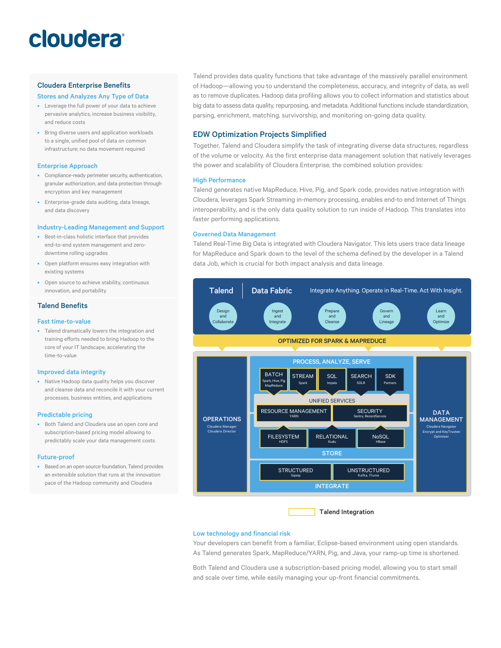# cloudera®

#### Cloudera Enterprise Benefits

#### Stores and Analyzes Any Type of Data

- Leverage the full power of your data to achieve pervasive analytics, increase business visibility, and reduce costs
- Bring diverse users and application workloads to a single, unified pool of data on common infrastructure; no data movement required

#### Enterprise Approach

- Compliance-ready perimeter security, authentication, granular authorization, and data protection through encryption and key management
- Enterprise-grade data auditing, data lineage, and data discovery

#### Industry-Leading Management and Support

- Best-in-class holistic interface that provides end-to-end system management and zerodowntime rolling upgrades
- Open platform ensures easy integration with existing systems
- Open source to achieve stability, continuous innovation, and portability

#### Talend Benefits

#### Fast time-to-value

• Talend dramatically lowers the integration and training efforts needed to bring Hadoop to the core of your IT landscape, accelerating the time-to-value

#### Improved data integrity

• Native Hadoop data quality helps you discover and cleanse data and reconcile it with your current processes, business entities, and applications

#### Predictable pricing

• Both Talend and Cloudera use an open core and subscription-based pricing model allowing to predictably scale your data management costs

#### Future-proof

• Based on an open source foundation, Talend provides an extensible solution that runs at the innovation pace of the Hadoop community and Cloudera

Talend provides data quality functions that take advantage of the massively parallel environment of Hadoop—allowing you to understand the completeness, accuracy, and integrity of data, as well as to remove duplicates. Hadoop data profiling allows you to collect information and statistics about big data to assess data quality, repurposing, and metadata. Additional functions include standardization, parsing, enrichment, matching, survivorship, and monitoring on-going data quality.

#### EDW Optimization Projects Simplified

Together, Talend and Cloudera simplify the task of integrating diverse data structures, regardless of the volume or velocity. As the first enterprise data management solution that natively leverages the power and scalability of Cloudera Enterprise, the combined solution provides:

#### High Performance

Talend generates native MapReduce, Hive, Pig, and Spark code, provides native integration with Cloudera, leverages Spark Streaming in-memory processing, enables end-to end Internet of Things interoperability, and is the only data quality solution to run inside of Hadoop. This translates into faster performing applications.

#### Governed Data Management

Talend Real-Time Big Data is integrated with Cloudera Navigator. This lets users trace data lineage for MapReduce and Spark down to the level of the schema defined by the developer in a Talend data Job, which is crucial for both impact analysis and data lineage.



Talend Integration

#### Low technology and financial risk

Your developers can benefit from a familiar, Eclipse-based environment using open standards. As Talend generates Spark, MapReduce/YARN, Pig, and Java, your ramp-up time is shortened.

Both Talend and Cloudera use a subscription-based pricing model, allowing you to start small and scale over time, while easily managing your up-front financial commitments.